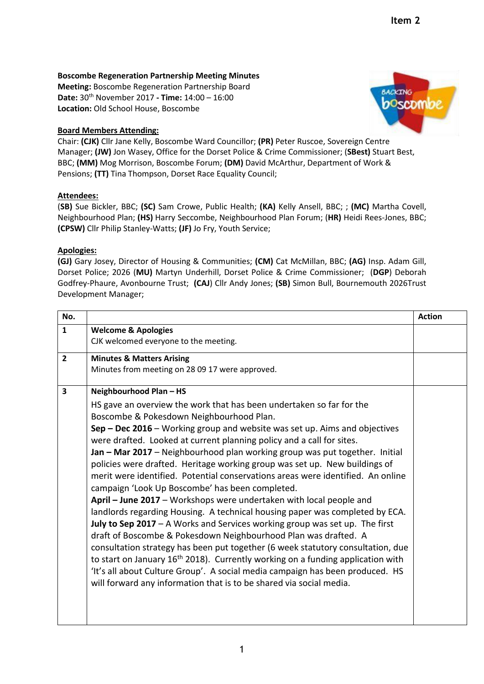# **Boscombe Regeneration Partnership Meeting Minutes**

**Meeting:** Boscombe Regeneration Partnership Board **Date:** 30th November 2017 **- Time:** 14:00 – 16:00 **Location:** Old School House, Boscombe

## **Board Members Attending:**

**BACKING** poscomb

Chair: **(CJK)** Cllr Jane Kelly, Boscombe Ward Councillor; **(PR)** Peter Ruscoe, Sovereign Centre Manager; **(JW)** Jon Wasey, Office for the Dorset Police & Crime Commissioner; (**SBest)** Stuart Best, BBC; **(MM)** Mog Morrison, Boscombe Forum; **(DM)** David McArthur, Department of Work & Pensions; **(TT)** Tina Thompson, Dorset Race Equality Council;

### **Attendees:**

(**SB)** Sue Bickler, BBC; **(SC)** Sam Crowe, Public Health; **(KA)** Kelly Ansell, BBC; ; **(MC)** Martha Covell, Neighbourhood Plan; **(HS)** Harry Seccombe, Neighbourhood Plan Forum; (**HR)** Heidi Rees-Jones, BBC; **(CPSW)** Cllr Philip Stanley-Watts; **(JF)** Jo Fry, Youth Service;

### **Apologies:**

**(GJ)** Gary Josey, Director of Housing & Communities; **(CM)** Cat McMillan, BBC; **(AG)** Insp. Adam Gill, Dorset Police; 2026 (**MU)** Martyn Underhill, Dorset Police & Crime Commissioner; (**DGP**) Deborah Godfrey-Phaure, Avonbourne Trust; **(CAJ**) Cllr Andy Jones; **(SB)** Simon Bull, Bournemouth 2026Trust Development Manager;

| No.            |                                                                                                                                                                     | <b>Action</b> |
|----------------|---------------------------------------------------------------------------------------------------------------------------------------------------------------------|---------------|
| $\mathbf{1}$   | <b>Welcome &amp; Apologies</b>                                                                                                                                      |               |
|                | CJK welcomed everyone to the meeting.                                                                                                                               |               |
| $\overline{2}$ | <b>Minutes &amp; Matters Arising</b>                                                                                                                                |               |
|                | Minutes from meeting on 28 09 17 were approved.                                                                                                                     |               |
| 3              | Neighbourhood Plan - HS                                                                                                                                             |               |
|                | HS gave an overview the work that has been undertaken so far for the                                                                                                |               |
|                | Boscombe & Pokesdown Neighbourhood Plan.                                                                                                                            |               |
|                | Sep – Dec 2016 – Working group and website was set up. Aims and objectives                                                                                          |               |
|                | were drafted. Looked at current planning policy and a call for sites.                                                                                               |               |
|                | Jan - Mar 2017 - Neighbourhood plan working group was put together. Initial                                                                                         |               |
|                | policies were drafted. Heritage working group was set up. New buildings of                                                                                          |               |
|                | merit were identified. Potential conservations areas were identified. An online                                                                                     |               |
|                | campaign 'Look Up Boscombe' has been completed.                                                                                                                     |               |
|                | April - June 2017 - Workshops were undertaken with local people and                                                                                                 |               |
|                | landlords regarding Housing. A technical housing paper was completed by ECA.                                                                                        |               |
|                | July to Sep 2017 - A Works and Services working group was set up. The first                                                                                         |               |
|                | draft of Boscombe & Pokesdown Neighbourhood Plan was drafted. A                                                                                                     |               |
|                | consultation strategy has been put together (6 week statutory consultation, due                                                                                     |               |
|                | to start on January $16th 2018$ ). Currently working on a funding application with<br>'It's all about Culture Group'. A social media campaign has been produced. HS |               |
|                | will forward any information that is to be shared via social media.                                                                                                 |               |
|                |                                                                                                                                                                     |               |
|                |                                                                                                                                                                     |               |
|                |                                                                                                                                                                     |               |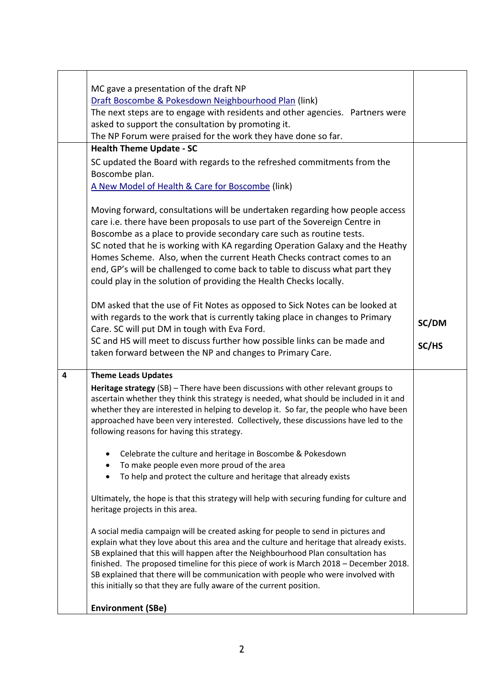| asked to support the consultation by promoting it.<br>The NP Forum were praised for the work they have done so far.                                                                                                                                                                                                                                                                                                                                                                                                                                                                                                                                                                                                                                                                                                                                                                                                                                                                                                                                                                                                                                                                                                   |  |
|-----------------------------------------------------------------------------------------------------------------------------------------------------------------------------------------------------------------------------------------------------------------------------------------------------------------------------------------------------------------------------------------------------------------------------------------------------------------------------------------------------------------------------------------------------------------------------------------------------------------------------------------------------------------------------------------------------------------------------------------------------------------------------------------------------------------------------------------------------------------------------------------------------------------------------------------------------------------------------------------------------------------------------------------------------------------------------------------------------------------------------------------------------------------------------------------------------------------------|--|
| <b>Health Theme Update - SC</b><br>SC updated the Board with regards to the refreshed commitments from the<br>Boscombe plan.<br>A New Model of Health & Care for Boscombe (link)<br>Moving forward, consultations will be undertaken regarding how people access<br>care i.e. there have been proposals to use part of the Sovereign Centre in<br>Boscombe as a place to provide secondary care such as routine tests.<br>SC noted that he is working with KA regarding Operation Galaxy and the Heathy<br>Homes Scheme. Also, when the current Heath Checks contract comes to an<br>end, GP's will be challenged to come back to table to discuss what part they<br>could play in the solution of providing the Health Checks locally.<br>DM asked that the use of Fit Notes as opposed to Sick Notes can be looked at<br>with regards to the work that is currently taking place in changes to Primary                                                                                                                                                                                                                                                                                                              |  |
| SC/DM<br>Care. SC will put DM in tough with Eva Ford.<br>SC and HS will meet to discuss further how possible links can be made and<br>SC/HS                                                                                                                                                                                                                                                                                                                                                                                                                                                                                                                                                                                                                                                                                                                                                                                                                                                                                                                                                                                                                                                                           |  |
| taken forward between the NP and changes to Primary Care.                                                                                                                                                                                                                                                                                                                                                                                                                                                                                                                                                                                                                                                                                                                                                                                                                                                                                                                                                                                                                                                                                                                                                             |  |
| <b>Theme Leads Updates</b><br>4<br>Heritage strategy (SB) - There have been discussions with other relevant groups to<br>ascertain whether they think this strategy is needed, what should be included in it and<br>whether they are interested in helping to develop it. So far, the people who have been<br>approached have been very interested. Collectively, these discussions have led to the<br>following reasons for having this strategy.<br>Celebrate the culture and heritage in Boscombe & Pokesdown<br>To make people even more proud of the area<br>To help and protect the culture and heritage that already exists<br>Ultimately, the hope is that this strategy will help with securing funding for culture and<br>heritage projects in this area.<br>A social media campaign will be created asking for people to send in pictures and<br>explain what they love about this area and the culture and heritage that already exists.<br>SB explained that this will happen after the Neighbourhood Plan consultation has<br>finished. The proposed timeline for this piece of work is March 2018 - December 2018.<br>SB explained that there will be communication with people who were involved with |  |
| this initially so that they are fully aware of the current position.<br><b>Environment (SBe)</b>                                                                                                                                                                                                                                                                                                                                                                                                                                                                                                                                                                                                                                                                                                                                                                                                                                                                                                                                                                                                                                                                                                                      |  |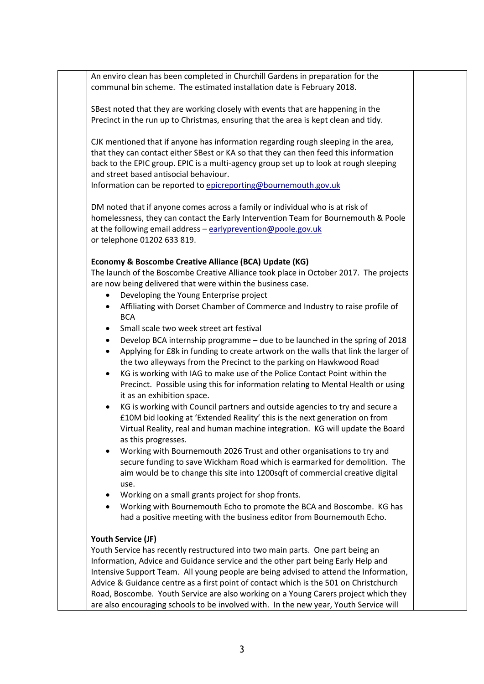An enviro clean has been completed in Churchill Gardens in preparation for the communal bin scheme. The estimated installation date is February 2018.

SBest noted that they are working closely with events that are happening in the Precinct in the run up to Christmas, ensuring that the area is kept clean and tidy.

CJK mentioned that if anyone has information regarding rough sleeping in the area, that they can contact either SBest or KA so that they can then feed this information back to the EPIC group. EPIC is a multi-agency group set up to look at rough sleeping and street based antisocial behaviour.

Information can be reported to [epicreporting@bournemouth.gov.uk](mailto:epicreporting@bournemouth.gov.uk)

DM noted that if anyone comes across a family or individual who is at risk of homelessness, they can contact the Early Intervention Team for Bournemouth & Poole at the following email address – [earlyprevention@poole.gov.uk](mailto:earlyprevention@poole.gov.uk) or telephone 01202 633 819.

#### **Economy & Boscombe Creative Alliance (BCA) Update (KG)**

The launch of the Boscombe Creative Alliance took place in October 2017. The projects are now being delivered that were within the business case.

- Developing the Young Enterprise project
- Affiliating with Dorset Chamber of Commerce and Industry to raise profile of **BCA**
- Small scale two week street art festival
- Develop BCA internship programme due to be launched in the spring of 2018
- Applying for £8k in funding to create artwork on the walls that link the larger of the two alleyways from the Precinct to the parking on Hawkwood Road
- KG is working with IAG to make use of the Police Contact Point within the Precinct. Possible using this for information relating to Mental Health or using it as an exhibition space.
- KG is working with Council partners and outside agencies to try and secure a £10M bid looking at 'Extended Reality' this is the next generation on from Virtual Reality, real and human machine integration. KG will update the Board as this progresses.
- Working with Bournemouth 2026 Trust and other organisations to try and secure funding to save Wickham Road which is earmarked for demolition. The aim would be to change this site into 1200sqft of commercial creative digital use.
- Working on a small grants project for shop fronts.
- Working with Bournemouth Echo to promote the BCA and Boscombe. KG has had a positive meeting with the business editor from Bournemouth Echo.

#### **Youth Service (JF)**

Youth Service has recently restructured into two main parts. One part being an Information, Advice and Guidance service and the other part being Early Help and Intensive Support Team. All young people are being advised to attend the Information, Advice & Guidance centre as a first point of contact which is the 501 on Christchurch Road, Boscombe. Youth Service are also working on a Young Carers project which they are also encouraging schools to be involved with. In the new year, Youth Service will